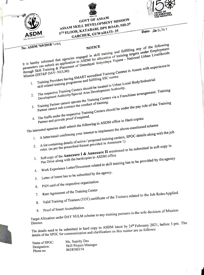





## GOVT OF ASSAM ACCAM SKILL V<sub>1</sub> OPMENT MISSION 5TH FLOOR, LUPE ROAD, NH-37 ASDM 5TH FLOOR, KATAPIE GUWAHATI-35

Date- $20 |121$ 

| Assets Shot Lat                                           |                                                                                                                                                                      |
|-----------------------------------------------------------|----------------------------------------------------------------------------------------------------------------------------------------------------------------------|
| No-ASDM 769/2018/479                                      | It is hereby informed that agencies engaged in skill training and fulfilling any of the following                                                                    |
|                                                           | parameters can submit an application to ASDM for allocation of training targets under Employment                                                                     |
|                                                           | through Skill Training & Placement of Deendayal Antyodaya Yojana - National Urban Livelihoods                                                                        |
|                                                           |                                                                                                                                                                      |
|                                                           |                                                                                                                                                                      |
|                                                           |                                                                                                                                                                      |
|                                                           |                                                                                                                                                                      |
| Mission (EST&P DAY-NULM):                                 |                                                                                                                                                                      |
|                                                           | Training Providers having SMART accredited Training Centres in Assam with experience in<br>skill related training programme and fulfilling SSC norms.                |
| 1.                                                        |                                                                                                                                                                      |
|                                                           |                                                                                                                                                                      |
|                                                           | The respective Training Centers should be located in Urban Local Body/Industrial<br>Development Authority/Special Area Development Authority.                        |
| 2.                                                        |                                                                                                                                                                      |
|                                                           |                                                                                                                                                                      |
| Partner cannot sub contract the conduct of training.      | Training Partner cannot operate the Training Centers via a Franchisee arrangement. Training                                                                          |
|                                                           |                                                                                                                                                                      |
|                                                           |                                                                                                                                                                      |
|                                                           | 4. The Staffs under the respective Training Centers should be under the pay role of the Training                                                                     |
| Partner and provide proof if required.                    |                                                                                                                                                                      |
|                                                           |                                                                                                                                                                      |
|                                                           | The interested agencies shall submit the following to ASDM office in Hard copies:<br>A letter/email confirming your interest to implement the above-mentioned scheme |
|                                                           | A list containing details of active / proposed training centers, SPOC details along with the job                                                                     |
| 1.                                                        |                                                                                                                                                                      |
|                                                           |                                                                                                                                                                      |
| 2.                                                        | roles. (as per the prescribed format provided in Annexure 1)                                                                                                         |
|                                                           | Soft copy of the <b>Annexure I &amp; Annexure II</b> mentioned to be submitted in soft copy in                                                                       |
|                                                           | Pen Drive along with the hardcopies to ASDM office                                                                                                                   |
| 3.                                                        |                                                                                                                                                                      |
|                                                           |                                                                                                                                                                      |
|                                                           | Work Experience Letter/Document related to skill training has to be provided by the agency                                                                           |
| 4.                                                        |                                                                                                                                                                      |
| Letter of Intent has to be submitted by the agency.<br>5. |                                                                                                                                                                      |
|                                                           |                                                                                                                                                                      |
| PAN card of the respective organization.<br>6.            |                                                                                                                                                                      |
|                                                           |                                                                                                                                                                      |
| Rent Agreement of the Training Center<br>7.               |                                                                                                                                                                      |
|                                                           |                                                                                                                                                                      |
| 8.                                                        | Valid Training of Trainers (TOT) certificate of the Trainers related to the Job Roles Applied.                                                                       |
|                                                           |                                                                                                                                                                      |
| Proof of Smart Accreditation.                             |                                                                                                                                                                      |
|                                                           | Target Allocation under DAY NULM scheme to any training partners is the sole decision of Mission                                                                     |
|                                                           |                                                                                                                                                                      |
| Director.                                                 |                                                                                                                                                                      |
|                                                           | The details need to be submitted in hard copy to ASDM latest by 24 <sup>th</sup> February 2021, before 5 pm. The                                                     |
|                                                           | details of the SPOC for communication and clarification on this matter are as follows:                                                                               |
|                                                           |                                                                                                                                                                      |

Name of SPOC: Designation: Phone no. Ms. Suprity Das Skill Project Manager 8638500374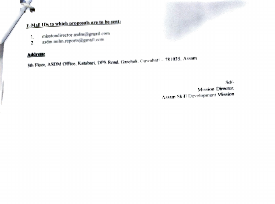## E-Mail IDs to which proposals are to be sent:

- 1. missiondirector asdm@gmail.com
- asdm.nulm.reports@gmail com  $2.$

## Address

Sth Floor, ASDM ORce. Katahari, DPS Romd, Garchuk, Gawahati - 781035, A ssam

sd/ Mission Director. A ssam Skill Development Mission